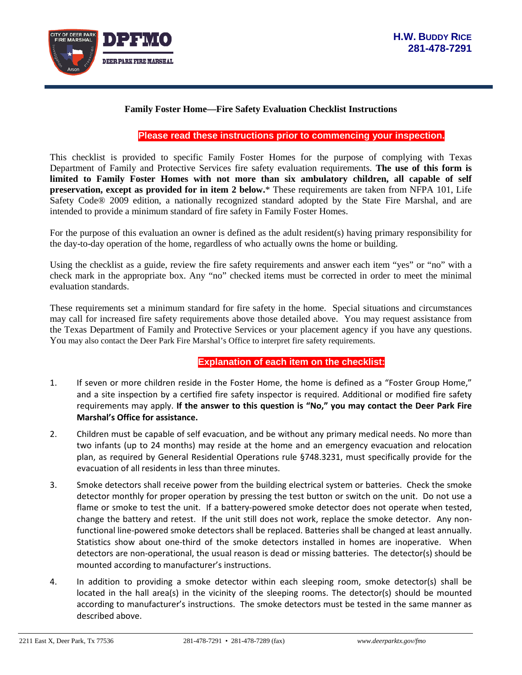

#### **Family Foster Home—Fire Safety Evaluation Checklist Instructions**

#### **Please read these instructions prior to commencing your inspection.**

This checklist is provided to specific Family Foster Homes for the purpose of complying with Texas Department of Family and Protective Services fire safety evaluation requirements. **The use of this form is limited to Family Foster Homes with not more than six ambulatory children, all capable of self preservation, except as provided for in item 2 below.**\* These requirements are taken from NFPA 101, Life Safety Code® 2009 edition, a nationally recognized standard adopted by the State Fire Marshal, and are intended to provide a minimum standard of fire safety in Family Foster Homes.

For the purpose of this evaluation an owner is defined as the adult resident(s) having primary responsibility for the day-to-day operation of the home, regardless of who actually owns the home or building.

Using the checklist as a guide, review the fire safety requirements and answer each item "yes" or "no" with a check mark in the appropriate box. Any "no" checked items must be corrected in order to meet the minimal evaluation standards.

These requirements set a minimum standard for fire safety in the home. Special situations and circumstances may call for increased fire safety requirements above those detailed above. You may request assistance from the Texas Department of Family and Protective Services or your placement agency if you have any questions. You may also contact the Deer Park Fire Marshal's Office to interpret fire safety requirements.

#### **Explanation of each item on the checklist:**

- 1. If seven or more children reside in the Foster Home, the home is defined as a "Foster Group Home," and a site inspection by a certified fire safety inspector is required. Additional or modified fire safety requirements may apply. **If the answer to this question is "No," you may contact the Deer Park Fire Marshal's Office for assistance.**
- 2. Children must be capable of self evacuation, and be without any primary medical needs. No more than two infants (up to 24 months) may reside at the home and an emergency evacuation and relocation plan, as required by General Residential Operations rule §748.3231, must specifically provide for the evacuation of all residents in less than three minutes.
- 3. Smoke detectors shall receive power from the building electrical system or batteries. Check the smoke detector monthly for proper operation by pressing the test button or switch on the unit. Do not use a flame or smoke to test the unit. If a battery-powered smoke detector does not operate when tested, change the battery and retest. If the unit still does not work, replace the smoke detector. Any nonfunctional line-powered smoke detectors shall be replaced. Batteries shall be changed at least annually. Statistics show about one-third of the smoke detectors installed in homes are inoperative. When detectors are non-operational, the usual reason is dead or missing batteries. The detector(s) should be mounted according to manufacturer's instructions.
- 4. In addition to providing a smoke detector within each sleeping room, smoke detector(s) shall be located in the hall area(s) in the vicinity of the sleeping rooms. The detector(s) should be mounted according to manufacturer's instructions. The smoke detectors must be tested in the same manner as described above.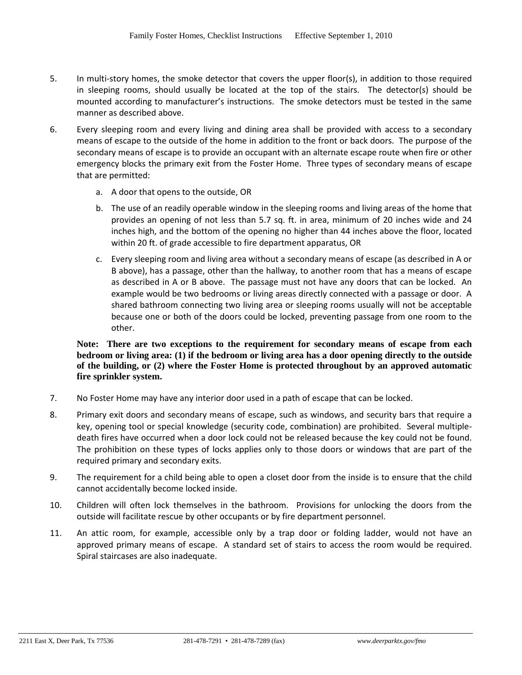- 5. In multi-story homes, the smoke detector that covers the upper floor(s), in addition to those required in sleeping rooms, should usually be located at the top of the stairs. The detector(s) should be mounted according to manufacturer's instructions. The smoke detectors must be tested in the same manner as described above.
- 6. Every sleeping room and every living and dining area shall be provided with access to a secondary means of escape to the outside of the home in addition to the front or back doors. The purpose of the secondary means of escape is to provide an occupant with an alternate escape route when fire or other emergency blocks the primary exit from the Foster Home. Three types of secondary means of escape that are permitted:
	- a. A door that opens to the outside, OR
	- b. The use of an readily operable window in the sleeping rooms and living areas of the home that provides an opening of not less than 5.7 sq. ft. in area, minimum of 20 inches wide and 24 inches high, and the bottom of the opening no higher than 44 inches above the floor, located within 20 ft. of grade accessible to fire department apparatus, OR
	- c. Every sleeping room and living area without a secondary means of escape (as described in A or B above), has a passage, other than the hallway, to another room that has a means of escape as described in A or B above. The passage must not have any doors that can be locked. An example would be two bedrooms or living areas directly connected with a passage or door. A shared bathroom connecting two living area or sleeping rooms usually will not be acceptable because one or both of the doors could be locked, preventing passage from one room to the other.

#### **Note: There are two exceptions to the requirement for secondary means of escape from each bedroom or living area: (1) if the bedroom or living area has a door opening directly to the outside of the building, or (2) where the Foster Home is protected throughout by an approved automatic fire sprinkler system.**

- 7. No Foster Home may have any interior door used in a path of escape that can be locked.
- 8. Primary exit doors and secondary means of escape, such as windows, and security bars that require a key, opening tool or special knowledge (security code, combination) are prohibited. Several multipledeath fires have occurred when a door lock could not be released because the key could not be found. The prohibition on these types of locks applies only to those doors or windows that are part of the required primary and secondary exits.
- 9. The requirement for a child being able to open a closet door from the inside is to ensure that the child cannot accidentally become locked inside.
- 10. Children will often lock themselves in the bathroom. Provisions for unlocking the doors from the outside will facilitate rescue by other occupants or by fire department personnel.
- 11. An attic room, for example, accessible only by a trap door or folding ladder, would not have an approved primary means of escape. A standard set of stairs to access the room would be required. Spiral staircases are also inadequate.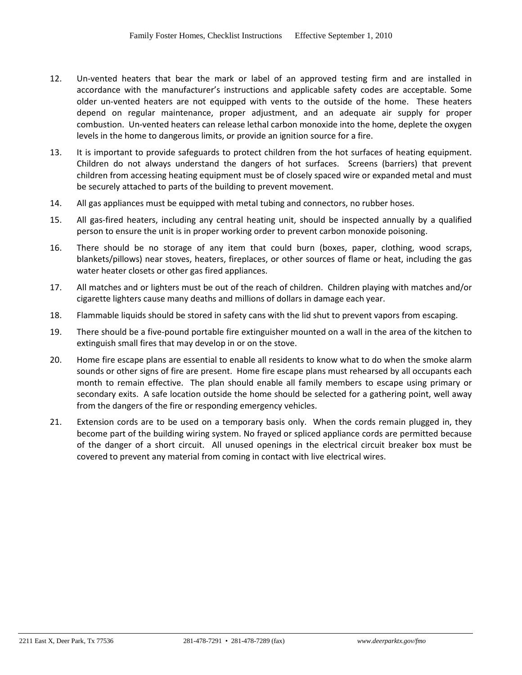- 12. Un-vented heaters that bear the mark or label of an approved testing firm and are installed in accordance with the manufacturer's instructions and applicable safety codes are acceptable. Some older un-vented heaters are not equipped with vents to the outside of the home. These heaters depend on regular maintenance, proper adjustment, and an adequate air supply for proper combustion. Un-vented heaters can release lethal carbon monoxide into the home, deplete the oxygen levels in the home to dangerous limits, or provide an ignition source for a fire.
- 13. It is important to provide safeguards to protect children from the hot surfaces of heating equipment. Children do not always understand the dangers of hot surfaces. Screens (barriers) that prevent children from accessing heating equipment must be of closely spaced wire or expanded metal and must be securely attached to parts of the building to prevent movement.
- 14. All gas appliances must be equipped with metal tubing and connectors, no rubber hoses.
- 15. All gas-fired heaters, including any central heating unit, should be inspected annually by a qualified person to ensure the unit is in proper working order to prevent carbon monoxide poisoning.
- 16. There should be no storage of any item that could burn (boxes, paper, clothing, wood scraps, blankets/pillows) near stoves, heaters, fireplaces, or other sources of flame or heat, including the gas water heater closets or other gas fired appliances.
- 17. All matches and or lighters must be out of the reach of children. Children playing with matches and/or cigarette lighters cause many deaths and millions of dollars in damage each year.
- 18. Flammable liquids should be stored in safety cans with the lid shut to prevent vapors from escaping.
- 19. There should be a five-pound portable fire extinguisher mounted on a wall in the area of the kitchen to extinguish small fires that may develop in or on the stove.
- 20. Home fire escape plans are essential to enable all residents to know what to do when the smoke alarm sounds or other signs of fire are present. Home fire escape plans must rehearsed by all occupants each month to remain effective. The plan should enable all family members to escape using primary or secondary exits. A safe location outside the home should be selected for a gathering point, well away from the dangers of the fire or responding emergency vehicles.
- 21. Extension cords are to be used on a temporary basis only. When the cords remain plugged in, they become part of the building wiring system. No frayed or spliced appliance cords are permitted because of the danger of a short circuit. All unused openings in the electrical circuit breaker box must be covered to prevent any material from coming in contact with live electrical wires.